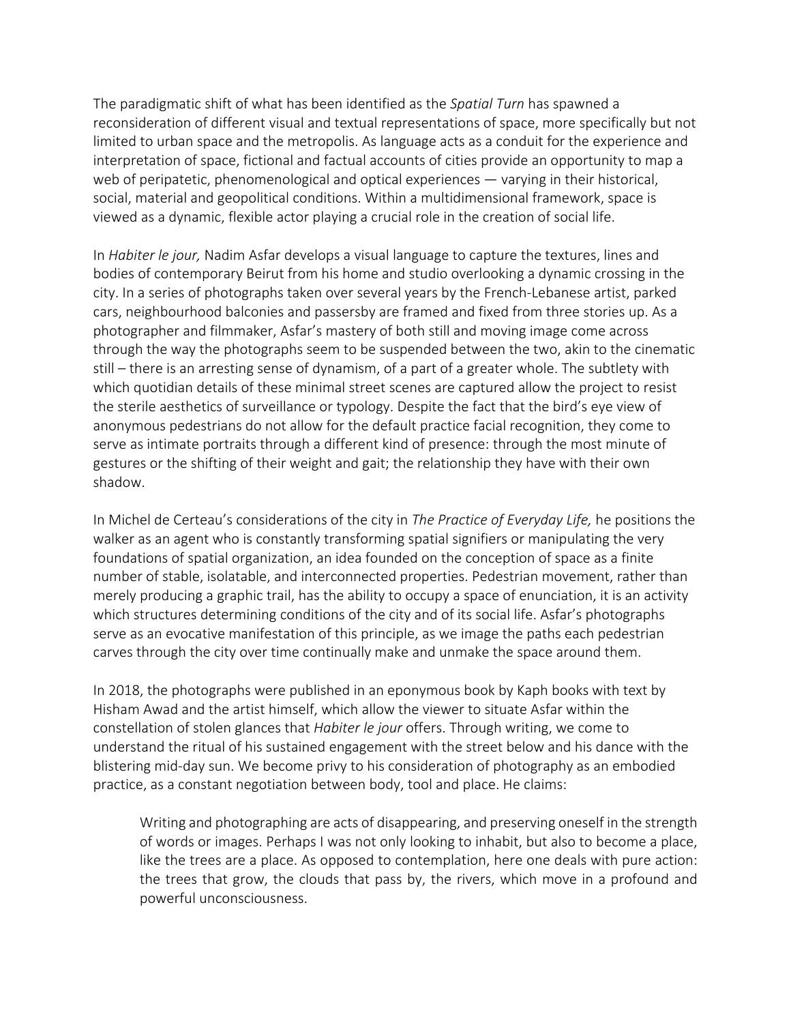The paradigmatic shift of what has been identified as the *Spatial Turn* has spawned a reconsideration of different visual and textual representations of space, more specifically but not limited to urban space and the metropolis. As language acts as a conduit for the experience and interpretation of space, fictional and factual accounts of cities provide an opportunity to map a web of peripatetic, phenomenological and optical experiences — varying in their historical, social, material and geopolitical conditions. Within a multidimensional framework, space is viewed as a dynamic, flexible actor playing a crucial role in the creation of social life.

In *Habiter le jour,* Nadim Asfar develops a visual language to capture the textures, lines and bodies of contemporary Beirut from his home and studio overlooking a dynamic crossing in the city. In a series of photographs taken over several years by the French-Lebanese artist, parked cars, neighbourhood balconies and passersby are framed and fixed from three stories up. As a photographer and filmmaker, Asfar's mastery of both still and moving image come across through the way the photographs seem to be suspended between the two, akin to the cinematic still – there is an arresting sense of dynamism, of a part of a greater whole. The subtlety with which quotidian details of these minimal street scenes are captured allow the project to resist the sterile aesthetics of surveillance or typology. Despite the fact that the bird's eye view of anonymous pedestrians do not allow for the default practice facial recognition, they come to serve as intimate portraits through a different kind of presence: through the most minute of gestures or the shifting of their weight and gait; the relationship they have with their own shadow.

In Michel de Certeau's considerations of the city in *The Practice of Everyday Life,* he positions the walker as an agent who is constantly transforming spatial signifiers or manipulating the very foundations of spatial organization, an idea founded on the conception of space as a finite number of stable, isolatable, and interconnected properties. Pedestrian movement, rather than merely producing a graphic trail, has the ability to occupy a space of enunciation, it is an activity which structures determining conditions of the city and of its social life. Asfar's photographs serve as an evocative manifestation of this principle, as we image the paths each pedestrian carves through the city over time continually make and unmake the space around them.

In 2018, the photographs were published in an eponymous book by Kaph books with text by Hisham Awad and the artist himself, which allow the viewer to situate Asfar within the constellation of stolen glances that *Habiter le jour* offers. Through writing, we come to understand the ritual of his sustained engagement with the street below and his dance with the blistering mid-day sun. We become privy to his consideration of photography as an embodied practice, as a constant negotiation between body, tool and place. He claims:

Writing and photographing are acts of disappearing, and preserving oneself in the strength of words or images. Perhaps I was not only looking to inhabit, but also to become a place, like the trees are a place. As opposed to contemplation, here one deals with pure action: the trees that grow, the clouds that pass by, the rivers, which move in a profound and powerful unconsciousness.